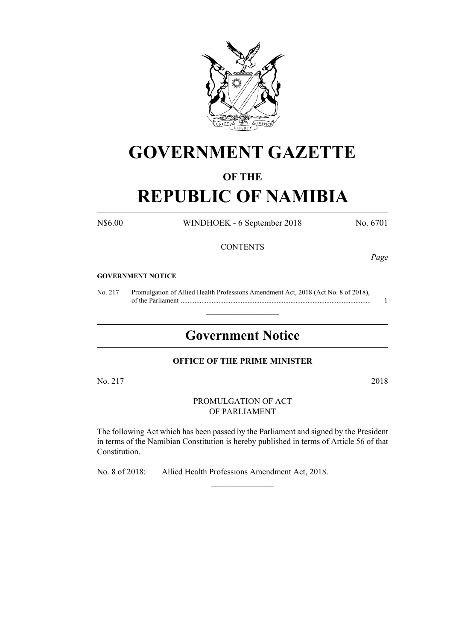

# **GOVERNMENT GAZETTE**

### **OF THE**

## **REPUBLIC OF NAMIBIA**

N\$6.00 WINDHOEK - 6 September 2018 No. 6701

#### **CONTENTS**

*Page*

#### **GOVERNMENT NOTICE**

No. 217 Promulgation of Allied Health Professions Amendment Act, 2018 (Act No. 8 of 2018), of the Parliament ............................................................................................................... 1

## **Government Notice**

 $\frac{1}{2}$  ,  $\frac{1}{2}$  ,  $\frac{1}{2}$  ,  $\frac{1}{2}$  ,  $\frac{1}{2}$  ,  $\frac{1}{2}$  ,  $\frac{1}{2}$ 

#### **OFFICE OF THE PRIME MINISTER**

No. 217 2018

PROMULGATION OF ACT OF PARLIAMENT

The following Act which has been passed by the Parliament and signed by the President in terms of the Namibian Constitution is hereby published in terms of Article 56 of that Constitution.

 $\frac{1}{2}$ 

No. 8 of 2018: Allied Health Professions Amendment Act, 2018.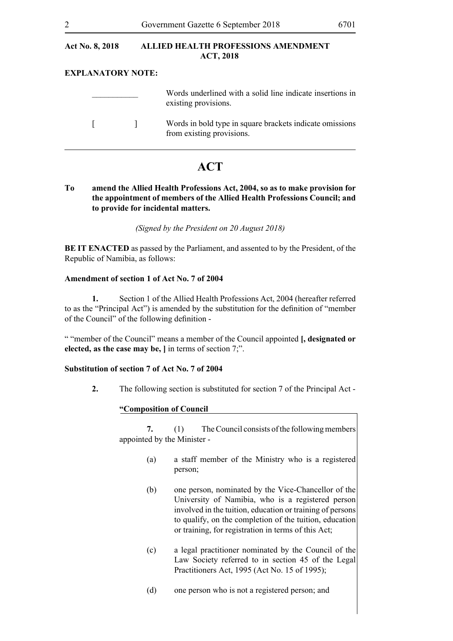#### **EXPLANATORY NOTE:**

|               | Words underlined with a solid line indicate insertions in<br>existing provisions.     |
|---------------|---------------------------------------------------------------------------------------|
| and the state | Words in bold type in square brackets indicate omissions<br>from existing provisions. |

### **ACT**

#### **To amend the Allied Health Professions Act, 2004, so as to make provision for the appointment of members of the Allied Health Professions Council; and to provide for incidental matters.**

*(Signed by the President on 20 August 2018)* 

**BE IT ENACTED** as passed by the Parliament, and assented to by the President, of the Republic of Namibia, as follows:

#### **Amendment of section 1 of Act No. 7 of 2004**

**1.** Section 1 of the Allied Health Professions Act, 2004 (hereafter referred to as the "Principal Act") is amended by the substitution for the definition of "member of the Council" of the following definition -

" "member of the Council" means a member of the Council appointed **[, designated or elected, as the case may be, ]** in terms of section 7;".

#### **Substitution of section 7 of Act No. 7 of 2004**

**2.** The following section is substituted for section 7 of the Principal Act -

#### **"Composition of Council**

**7.** (1) The Council consists of the following members appointed by the Minister -

- (a) a staff member of the Ministry who is a registered person;
- (b) one person, nominated by the Vice-Chancellor of the University of Namibia, who is a registered person involved in the tuition, education or training of persons to qualify, on the completion of the tuition, education or training, for registration in terms of this Act;
- (c) a legal practitioner nominated by the Council of the Law Society referred to in section 45 of the Legal Practitioners Act, 1995 (Act No. 15 of 1995);
- (d) one person who is not a registered person; and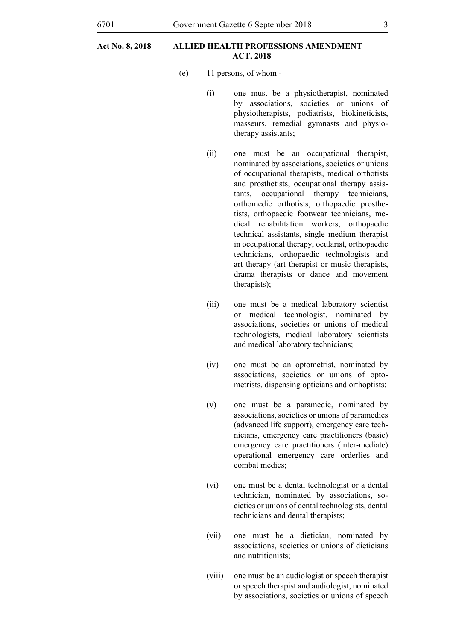- (e) 11 persons, of whom
	- (i) one must be a physiotherapist, nominated by associations, societies or unions of physiotherapists, podiatrists, biokineticists, masseurs, remedial gymnasts and physiotherapy assistants;
	- (ii) one must be an occupational therapist, nominated by associations, societies or unions of occupational therapists, medical orthotists and prosthetists, occupational therapy assistants, occupational therapy technicians, orthomedic orthotists, orthopaedic prosthetists, orthopaedic footwear technicians, medical rehabilitation workers, orthopaedic technical assistants, single medium therapist in occupational therapy, ocularist, orthopaedic technicians, orthopaedic technologists and art therapy (art therapist or music therapists, drama therapists or dance and movement therapists);
	- (iii) one must be a medical laboratory scientist or medical technologist, nominated by associations, societies or unions of medical technologists, medical laboratory scientists and medical laboratory technicians;
	- (iv) one must be an optometrist, nominated by associations, societies or unions of optometrists, dispensing opticians and orthoptists;
	- (v) one must be a paramedic, nominated by associations, societies or unions of paramedics (advanced life support), emergency care technicians, emergency care practitioners (basic) emergency care practitioners (inter-mediate) operational emergency care orderlies and combat medics;
	- (vi) one must be a dental technologist or a dental technician, nominated by associations, societies or unions of dental technologists, dental technicians and dental therapists;
	- (vii) one must be a dietician, nominated by associations, societies or unions of dieticians and nutritionists;
	- (viii) one must be an audiologist or speech therapist or speech therapist and audiologist, nominated by associations, societies or unions of speech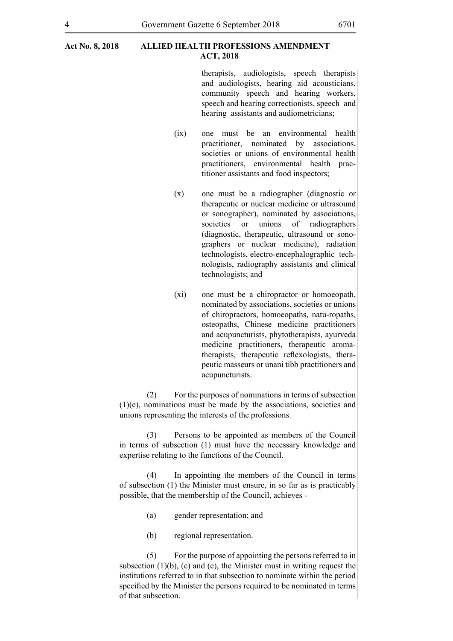therapists, audiologists, speech therapists and audiologists, hearing aid acousticians, community speech and hearing workers, speech and hearing correctionists, speech and hearing assistants and audiometricians;

- (ix) one must be an environmental health practitioner, nominated by associations, societies or unions of environmental health practitioners, environmental health practitioner assistants and food inspectors;
- (x) one must be a radiographer (diagnostic or therapeutic or nuclear medicine or ultrasound or sonographer), nominated by associations, societies or unions of radiographers (diagnostic, therapeutic, ultrasound or sonographers or nuclear medicine), radiation technologists, electro-encephalographic technologists, radiography assistants and clinical technologists; and
- (xi) one must be a chiropractor or homoeopath, nominated by associations, societies or unions of chiropractors, homoeopaths, natu-ropaths, osteopaths, Chinese medicine practitioners and acupuncturists, phytotherapists, ayurveda medicine practitioners, therapeutic aromatherapists, therapeutic reflexologists, therapeutic masseurs or unani tibb practitioners and acupuncturists.

(2) For the purposes of nominations in terms of subsection (1)(e), nominations must be made by the associations, societies and unions representing the interests of the professions.

(3) Persons to be appointed as members of the Council in terms of subsection (1) must have the necessary knowledge and expertise relating to the functions of the Council.

(4) In appointing the members of the Council in terms of subsection (1) the Minister must ensure, in so far as is practicably possible, that the membership of the Council, achieves -

- (a) gender representation; and
- (b) regional representation.

(5) For the purpose of appointing the persons referred to in subsection  $(1)(b)$ ,  $(c)$  and  $(e)$ , the Minister must in writing request the institutions referred to in that subsection to nominate within the period specified by the Minister the persons required to be nominated in terms of that subsection.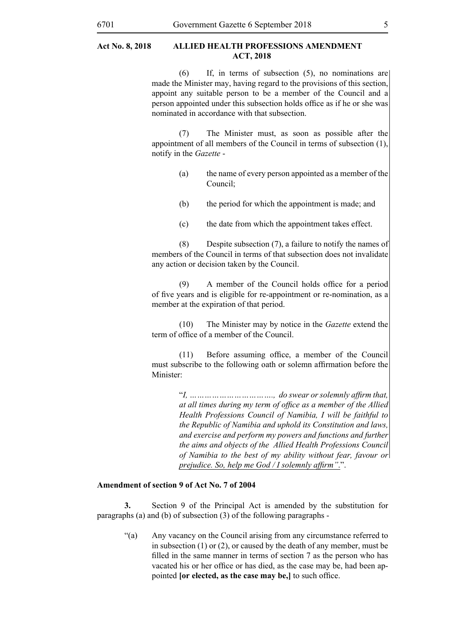(6) If, in terms of subsection (5), no nominations are made the Minister may, having regard to the provisions of this section, appoint any suitable person to be a member of the Council and a person appointed under this subsection holds office as if he or she was nominated in accordance with that subsection.

(7) The Minister must, as soon as possible after the appointment of all members of the Council in terms of subsection (1), notify in the *Gazette* -

- (a) the name of every person appointed as a member of the Council;
- (b) the period for which the appointment is made; and
- (c) the date from which the appointment takes effect.

(8) Despite subsection (7), a failure to notify the names of members of the Council in terms of that subsection does not invalidate any action or decision taken by the Council.

(9) A member of the Council holds office for a period of five years and is eligible for re-appointment or re-nomination, as a member at the expiration of that period.

(10) The Minister may by notice in the *Gazette* extend the term of office of a member of the Council.

(11) Before assuming office, a member of the Council must subscribe to the following oath or solemn affirmation before the Minister:

> "*I, ……………………………., do swear or solemnly affirm that, at all times during my term of office as a member of the Allied Health Professions Council of Namibia, I will be faithful to the Republic of Namibia and uphold its Constitution and laws, and exercise and perform my powers and functions and further the aims and objects of the Allied Health Professions Council of Namibia to the best of my ability without fear, favour or prejudice. So, help me God / I solemnly affirm"*.".

#### **Amendment of section 9 of Act No. 7 of 2004**

**3.** Section 9 of the Principal Act is amended by the substitution for paragraphs (a) and (b) of subsection (3) of the following paragraphs -

"(a) Any vacancy on the Council arising from any circumstance referred to in subsection (1) or (2), or caused by the death of any member, must be filled in the same manner in terms of section 7 as the person who has vacated his or her office or has died, as the case may be, had been appointed **[or elected, as the case may be,]** to such office.